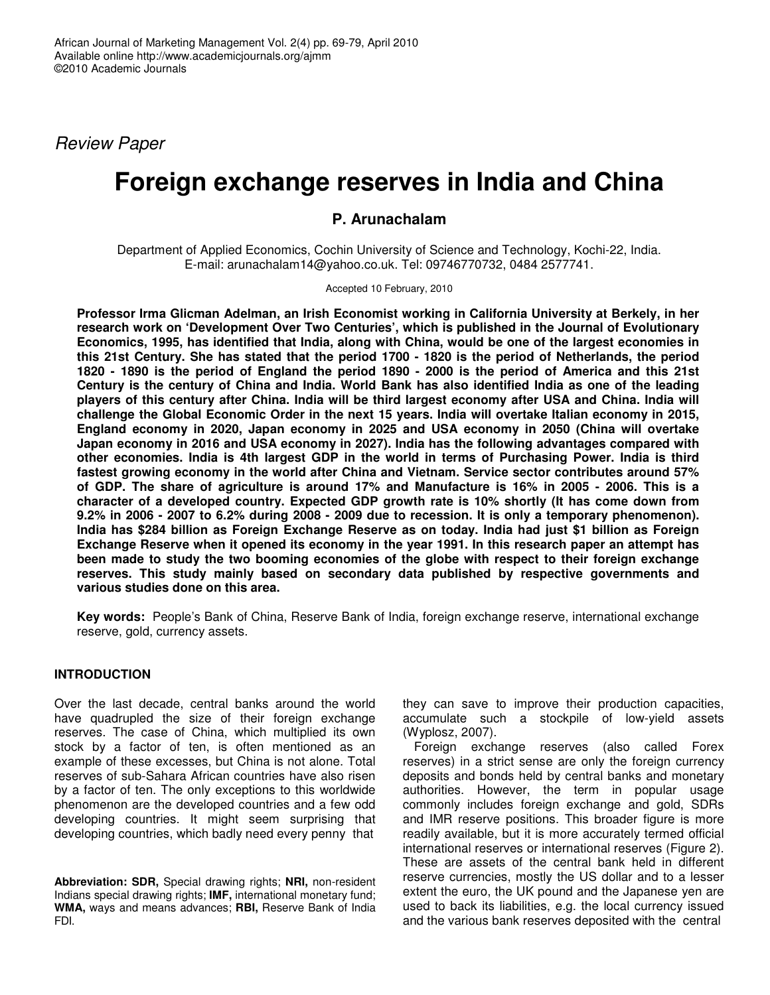Review Paper

# **Foreign exchange reserves in India and China**

## **P. Arunachalam**

Department of Applied Economics, Cochin University of Science and Technology, Kochi-22, India. E-mail: arunachalam14@yahoo.co.uk. Tel: 09746770732, 0484 2577741.

Accepted 10 February, 2010

**Professor Irma Glicman Adelman, an Irish Economist working in California University at Berkely, in her research work on 'Development Over Two Centuries', which is published in the Journal of Evolutionary Economics, 1995, has identified that India, along with China, would be one of the largest economies in this 21st Century. She has stated that the period 1700 - 1820 is the period of Netherlands, the period 1820 - 1890 is the period of England the period 1890 - 2000 is the period of America and this 21st Century is the century of China and India. World Bank has also identified India as one of the leading players of this century after China. India will be third largest economy after USA and China. India will challenge the Global Economic Order in the next 15 years. India will overtake Italian economy in 2015, England economy in 2020, Japan economy in 2025 and USA economy in 2050 (China will overtake Japan economy in 2016 and USA economy in 2027). India has the following advantages compared with other economies. India is 4th largest GDP in the world in terms of Purchasing Power. India is third fastest growing economy in the world after China and Vietnam. Service sector contributes around 57% of GDP. The share of agriculture is around 17% and Manufacture is 16% in 2005 - 2006. This is a character of a developed country. Expected GDP growth rate is 10% shortly (It has come down from 9.2% in 2006 - 2007 to 6.2% during 2008 - 2009 due to recession. It is only a temporary phenomenon). India has \$284 billion as Foreign Exchange Reserve as on today. India had just \$1 billion as Foreign Exchange Reserve when it opened its economy in the year 1991. In this research paper an attempt has been made to study the two booming economies of the globe with respect to their foreign exchange reserves. This study mainly based on secondary data published by respective governments and various studies done on this area.** 

**Key words:** People's Bank of China, Reserve Bank of India, foreign exchange reserve, international exchange reserve, gold, currency assets.

### **INTRODUCTION**

Over the last decade, central banks around the world have quadrupled the size of their foreign exchange reserves. The case of China, which multiplied its own stock by a factor of ten, is often mentioned as an example of these excesses, but China is not alone. Total reserves of sub-Sahara African countries have also risen by a factor of ten. The only exceptions to this worldwide phenomenon are the developed countries and a few odd developing countries. It might seem surprising that developing countries, which badly need every penny that

**Abbreviation: SDR,** Special drawing rights; **NRI,** non-resident Indians special drawing rights; **IMF,** international monetary fund; **WMA,** ways and means advances; **RBI,** Reserve Bank of India FDI.

they can save to improve their production capacities, accumulate such a stockpile of low-yield assets (Wyplosz, 2007).

Foreign exchange reserves (also called Forex reserves) in a strict sense are only the foreign currency deposits and bonds held by central banks and monetary authorities. However, the term in popular usage commonly includes foreign exchange and gold, SDRs and IMR reserve positions. This broader figure is more readily available, but it is more accurately termed official international reserves or international reserves (Figure 2). These are assets of the central bank held in different reserve currencies, mostly the US dollar and to a lesser extent the euro, the UK pound and the Japanese yen are used to back its liabilities, e.g. the local currency issued and the various bank reserves deposited with the central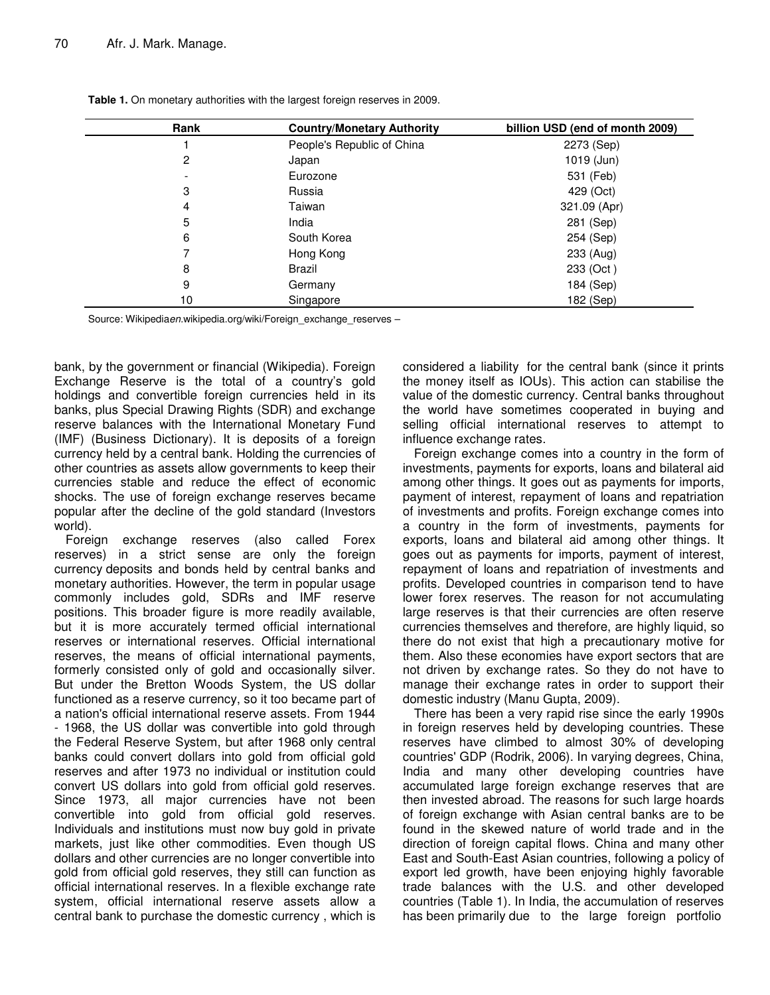| Rank | <b>Country/Monetary Authority</b> | billion USD (end of month 2009) |
|------|-----------------------------------|---------------------------------|
|      | People's Republic of China        | 2273 (Sep)                      |
| 2    | Japan                             | 1019 (Jun)                      |
|      | Eurozone                          | 531 (Feb)                       |
| 3    | Russia                            | 429 (Oct)                       |
| 4    | Taiwan                            | 321.09 (Apr)                    |
| 5    | India                             | 281 (Sep)                       |
| 6    | South Korea                       | 254 (Sep)                       |
|      | Hong Kong                         | 233 (Aug)                       |
| 8    | Brazil                            | 233 (Oct)                       |
| 9    | Germany                           | 184 (Sep)                       |
| 10   | Singapore                         | 182 (Sep)                       |

**Table 1.** On monetary authorities with the largest foreign reserves in 2009.

Source: Wikipediaen.wikipedia.org/wiki/Foreign\_exchange\_reserves –

bank, by the government or financial (Wikipedia). Foreign Exchange Reserve is the total of a country's gold holdings and convertible foreign currencies held in its banks, plus Special Drawing Rights (SDR) and exchange reserve balances with the International Monetary Fund (IMF) (Business Dictionary). It is deposits of a foreign currency held by a central bank. Holding the currencies of other countries as assets allow governments to keep their currencies stable and reduce the effect of economic shocks. The use of foreign exchange reserves became popular after the decline of the gold standard (Investors world).

Foreign exchange reserves (also called Forex reserves) in a strict sense are only the foreign currency deposits and bonds held by central banks and monetary authorities. However, the term in popular usage commonly includes gold, SDRs and IMF reserve positions. This broader figure is more readily available, but it is more accurately termed official international reserves or international reserves. Official international reserves, the means of official international payments, formerly consisted only of gold and occasionally silver. But under the Bretton Woods System, the US dollar functioned as a reserve currency, so it too became part of a nation's official international reserve assets. From 1944 - 1968, the US dollar was convertible into gold through the Federal Reserve System, but after 1968 only central banks could convert dollars into gold from official gold reserves and after 1973 no individual or institution could convert US dollars into gold from official gold reserves. Since 1973, all major currencies have not been convertible into gold from official gold reserves. Individuals and institutions must now buy gold in private markets, just like other commodities. Even though US dollars and other currencies are no longer convertible into gold from official gold reserves, they still can function as official international reserves. In a flexible exchange rate system, official international reserve assets allow a central bank to purchase the domestic currency , which is

considered a liability for the central bank (since it prints the money itself as IOUs). This action can stabilise the value of the domestic currency. Central banks throughout the world have sometimes cooperated in buying and selling official international reserves to attempt to influence exchange rates.

Foreign exchange comes into a country in the form of investments, payments for exports, loans and bilateral aid among other things. It goes out as payments for imports, payment of interest, repayment of loans and repatriation of investments and profits. Foreign exchange comes into a country in the form of investments, payments for exports, loans and bilateral aid among other things. It goes out as payments for imports, payment of interest, repayment of loans and repatriation of investments and profits. Developed countries in comparison tend to have lower forex reserves. The reason for not accumulating large reserves is that their currencies are often reserve currencies themselves and therefore, are highly liquid, so there do not exist that high a precautionary motive for them. Also these economies have export sectors that are not driven by exchange rates. So they do not have to manage their exchange rates in order to support their domestic industry (Manu Gupta, 2009).

There has been a very rapid rise since the early 1990s in foreign reserves held by developing countries. These reserves have climbed to almost 30% of developing countries' GDP (Rodrik, 2006). In varying degrees, China, India and many other developing countries have accumulated large foreign exchange reserves that are then invested abroad. The reasons for such large hoards of foreign exchange with Asian central banks are to be found in the skewed nature of world trade and in the direction of foreign capital flows. China and many other East and South-East Asian countries, following a policy of export led growth, have been enjoying highly favorable trade balances with the U.S. and other developed countries (Table 1). In India, the accumulation of reserves has been primarily due to the large foreign portfolio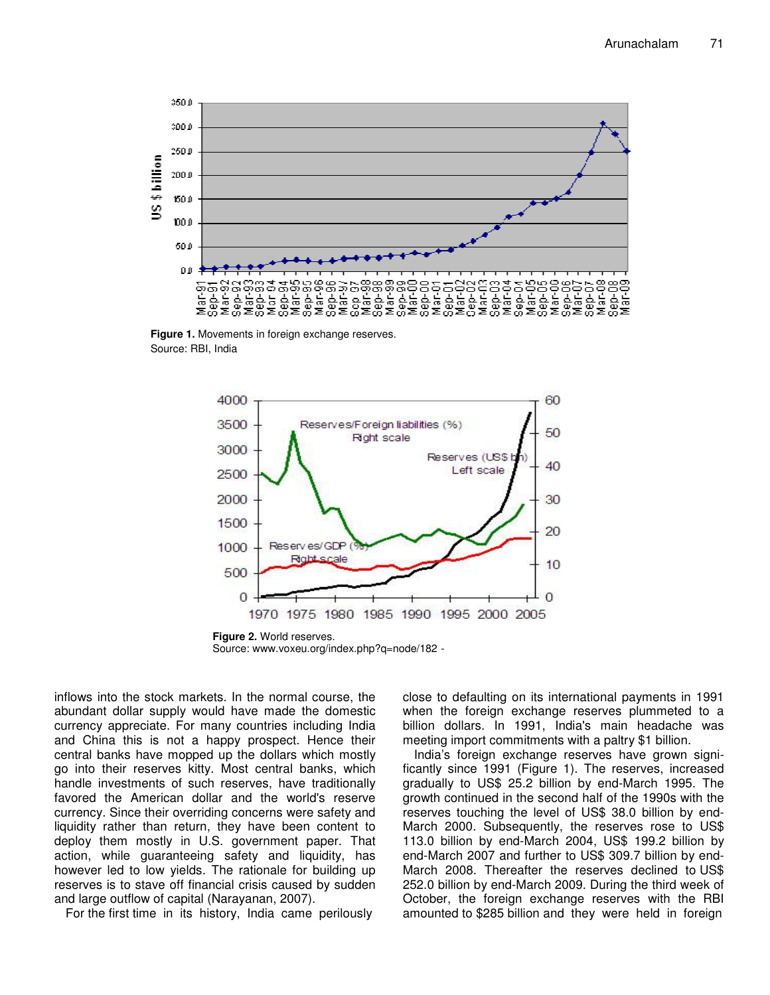

**Figure 1.** Movements in foreign exchange reserves. Source: RBI, India



**Figure 2.** World reserves. Source: www.voxeu.org/index.php?q=node/182 -

inflows into the stock markets. In the normal course, the abundant dollar supply would have made the domestic currency appreciate. For many countries including India and China this is not a happy prospect. Hence their central banks have mopped up the dollars which mostly go into their reserves kitty. Most central banks, which handle investments of such reserves, have traditionally favored the American dollar and the world's reserve currency. Since their overriding concerns were safety and liquidity rather than return, they have been content to deploy them mostly in U.S. government paper. That action, while guaranteeing safety and liquidity, has however led to low yields. The rationale for building up reserves is to stave off financial crisis caused by sudden and large outflow of capital (Narayanan, 2007).

For the first time in its history, India came perilously

close to defaulting on its international payments in 1991 when the foreign exchange reserves plummeted to a billion dollars. In 1991, India's main headache was meeting import commitments with a paltry \$1 billion.

India's foreign exchange reserves have grown significantly since 1991 (Figure 1). The reserves, increased gradually to US\$ 25.2 billion by end-March 1995. The growth continued in the second half of the 1990s with the reserves touching the level of US\$ 38.0 billion by end-March 2000. Subsequently, the reserves rose to US\$ 113.0 billion by end-March 2004, US\$ 199.2 billion by end-March 2007 and further to US\$ 309.7 billion by end-March 2008. Thereafter the reserves declined to US\$ 252.0 billion by end-March 2009. During the third week of October, the foreign exchange reserves with the RBI amounted to \$285 billion and they were held in foreign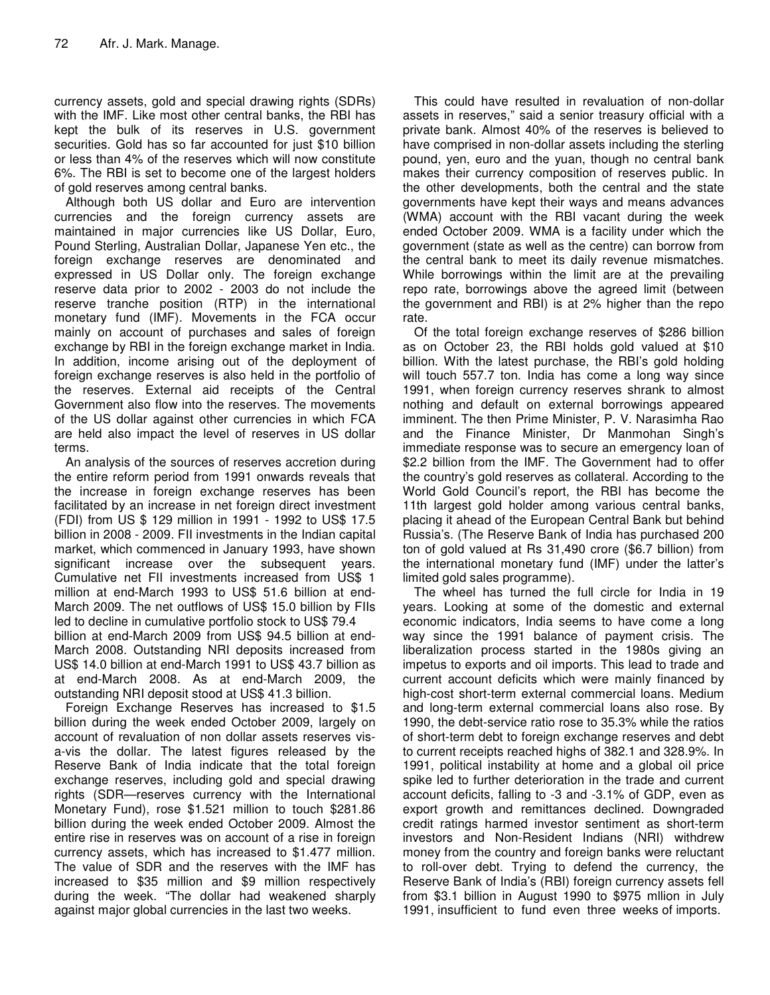currency assets, gold and special drawing rights (SDRs) with the IMF. Like most other central banks, the RBI has kept the bulk of its reserves in U.S. government securities. Gold has so far accounted for just \$10 billion or less than 4% of the reserves which will now constitute 6%. The RBI is set to become one of the largest holders of gold reserves among central banks.

Although both US dollar and Euro are intervention currencies and the foreign currency assets are maintained in major currencies like US Dollar, Euro, Pound Sterling, Australian Dollar, Japanese Yen etc., the foreign exchange reserves are denominated and expressed in US Dollar only. The foreign exchange reserve data prior to 2002 - 2003 do not include the reserve tranche position (RTP) in the international monetary fund (IMF). Movements in the FCA occur mainly on account of purchases and sales of foreign exchange by RBI in the foreign exchange market in India. In addition, income arising out of the deployment of foreign exchange reserves is also held in the portfolio of the reserves. External aid receipts of the Central Government also flow into the reserves. The movements of the US dollar against other currencies in which FCA are held also impact the level of reserves in US dollar terms.

An analysis of the sources of reserves accretion during the entire reform period from 1991 onwards reveals that the increase in foreign exchange reserves has been facilitated by an increase in net foreign direct investment (FDI) from US \$ 129 million in 1991 - 1992 to US\$ 17.5 billion in 2008 - 2009. FII investments in the Indian capital market, which commenced in January 1993, have shown significant increase over the subsequent years. Cumulative net FII investments increased from US\$ 1 million at end-March 1993 to US\$ 51.6 billion at end-March 2009. The net outflows of US\$ 15.0 billion by FIIs led to decline in cumulative portfolio stock to US\$ 79.4 billion at end-March 2009 from US\$ 94.5 billion at end-March 2008. Outstanding NRI deposits increased from US\$ 14.0 billion at end-March 1991 to US\$ 43.7 billion as at end-March 2008. As at end-March 2009, the outstanding NRI deposit stood at US\$ 41.3 billion.

Foreign Exchange Reserves has increased to \$1.5 billion during the week ended October 2009, largely on account of revaluation of non dollar assets reserves visa-vis the dollar. The latest figures released by the Reserve Bank of India indicate that the total foreign exchange reserves, including gold and special drawing rights (SDR—reserves currency with the International Monetary Fund), rose \$1.521 million to touch \$281.86 billion during the week ended October 2009. Almost the entire rise in reserves was on account of a rise in foreign currency assets, which has increased to \$1.477 million. The value of SDR and the reserves with the IMF has increased to \$35 million and \$9 million respectively during the week. "The dollar had weakened sharply against major global currencies in the last two weeks.

This could have resulted in revaluation of non-dollar assets in reserves," said a senior treasury official with a private bank. Almost 40% of the reserves is believed to have comprised in non-dollar assets including the sterling pound, yen, euro and the yuan, though no central bank makes their currency composition of reserves public. In the other developments, both the central and the state governments have kept their ways and means advances (WMA) account with the RBI vacant during the week ended October 2009. WMA is a facility under which the government (state as well as the centre) can borrow from the central bank to meet its daily revenue mismatches. While borrowings within the limit are at the prevailing repo rate, borrowings above the agreed limit (between the government and RBI) is at 2% higher than the repo rate.

Of the total foreign exchange reserves of \$286 billion as on October 23, the RBI holds gold valued at \$10 billion. With the latest purchase, the RBI's gold holding will touch 557.7 ton. India has come a long way since 1991, when foreign currency reserves shrank to almost nothing and default on external borrowings appeared imminent. The then Prime Minister, P. V. Narasimha Rao and the Finance Minister, Dr Manmohan Singh's immediate response was to secure an emergency loan of \$2.2 billion from the IMF. The Government had to offer the country's gold reserves as collateral. According to the World Gold Council's report, the RBI has become the 11th largest gold holder among various central banks, placing it ahead of the European Central Bank but behind Russia's. (The Reserve Bank of India has purchased 200 ton of gold valued at Rs 31,490 crore (\$6.7 billion) from the international monetary fund (IMF) under the latter's limited gold sales programme).

The wheel has turned the full circle for India in 19 years. Looking at some of the domestic and external economic indicators, India seems to have come a long way since the 1991 balance of payment crisis. The liberalization process started in the 1980s giving an impetus to exports and oil imports. This lead to trade and current account deficits which were mainly financed by high-cost short-term external commercial loans. Medium and long-term external commercial loans also rose. By 1990, the debt-service ratio rose to 35.3% while the ratios of short-term debt to foreign exchange reserves and debt to current receipts reached highs of 382.1 and 328.9%. In 1991, political instability at home and a global oil price spike led to further deterioration in the trade and current account deficits, falling to -3 and -3.1% of GDP, even as export growth and remittances declined. Downgraded credit ratings harmed investor sentiment as short-term investors and Non-Resident Indians (NRI) withdrew money from the country and foreign banks were reluctant to roll-over debt. Trying to defend the currency, the Reserve Bank of India's (RBI) foreign currency assets fell from \$3.1 billion in August 1990 to \$975 mllion in July 1991, insufficient to fund even three weeks of imports.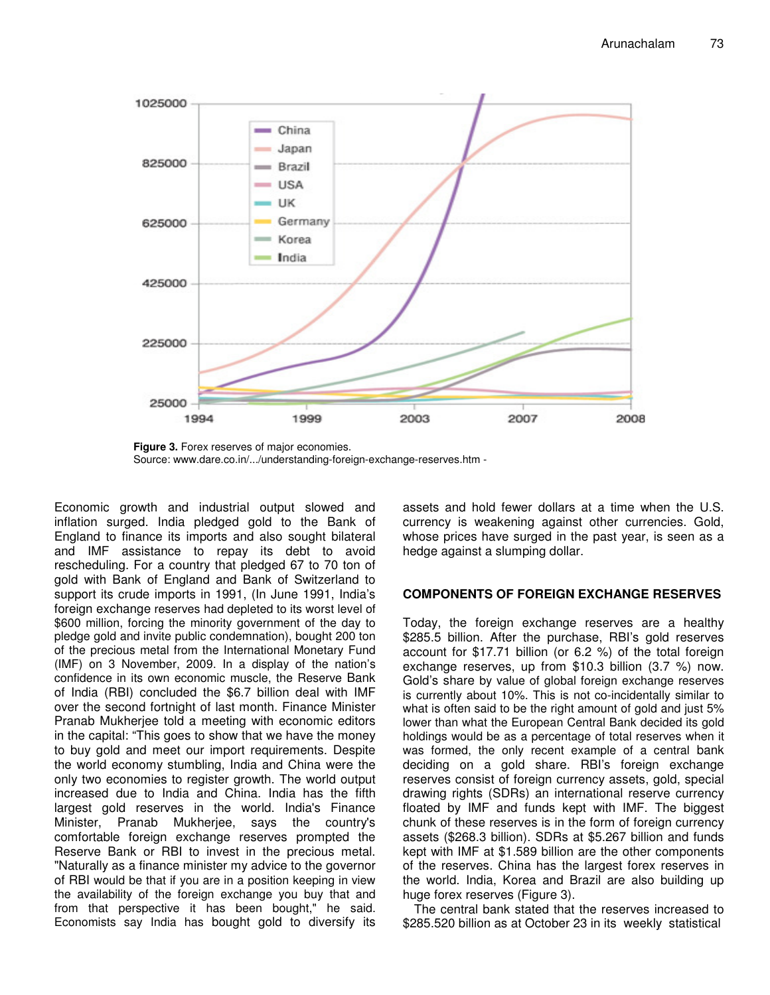

**Figure 3.** Forex reserves of major economies. Source: www.dare.co.in/.../understanding-foreign-exchange-reserves.htm -

Economic growth and industrial output slowed and inflation surged. India pledged gold to the Bank of England to finance its imports and also sought bilateral and IMF assistance to repay its debt to avoid rescheduling. For a country that pledged 67 to 70 ton of gold with Bank of England and Bank of Switzerland to support its crude imports in 1991, (In June 1991, India's foreign exchange reserves had depleted to its worst level of \$600 million, forcing the minority government of the day to pledge gold and invite public condemnation), bought 200 ton of the precious metal from the International Monetary Fund (IMF) on 3 November, 2009. In a display of the nation's confidence in its own economic muscle, the Reserve Bank of India (RBI) concluded the \$6.7 billion deal with IMF over the second fortnight of last month. Finance Minister Pranab Mukherjee told a meeting with economic editors in the capital: "This goes to show that we have the money to buy gold and meet our import requirements. Despite the world economy stumbling, India and China were the only two economies to register growth. The world output increased due to India and China. India has the fifth largest gold reserves in the world. India's Finance Minister, Pranab Mukherjee, says the country's comfortable foreign exchange reserves prompted the Reserve Bank or RBI to invest in the precious metal. "Naturally as a finance minister my advice to the governor of RBI would be that if you are in a position keeping in view the availability of the foreign exchange you buy that and from that perspective it has been bought," he said. Economists say India has bought gold to diversify its

assets and hold fewer dollars at a time when the U.S. currency is weakening against other currencies. Gold, whose prices have surged in the past year, is seen as a hedge against a slumping dollar.

## **COMPONENTS OF FOREIGN EXCHANGE RESERVES**

Today, the foreign exchange reserves are a healthy \$285.5 billion. After the purchase, RBI's gold reserves account for \$17.71 billion (or 6.2 %) of the total foreign exchange reserves, up from \$10.3 billion (3.7 %) now. Gold's share by value of global foreign exchange reserves is currently about 10%. This is not co-incidentally similar to what is often said to be the right amount of gold and just 5% lower than what the European Central Bank decided its gold holdings would be as a percentage of total reserves when it was formed, the only recent example of a central bank deciding on a gold share. RBI's foreign exchange reserves consist of foreign currency assets, gold, special drawing rights (SDRs) an international reserve currency floated by IMF and funds kept with IMF. The biggest chunk of these reserves is in the form of foreign currency assets (\$268.3 billion). SDRs at \$5.267 billion and funds kept with IMF at \$1.589 billion are the other components of the reserves. China has the largest forex reserves in the world. India, Korea and Brazil are also building up huge forex reserves (Figure 3).

The central bank stated that the reserves increased to \$285.520 billion as at October 23 in its weekly statistical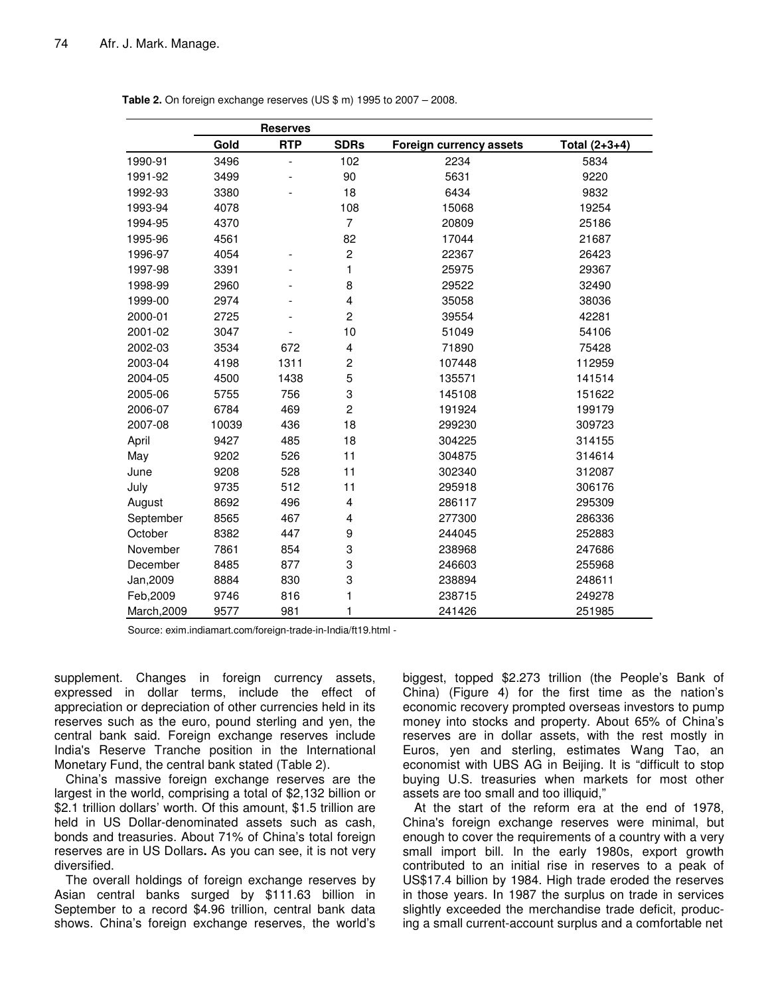|             | <b>Reserves</b> |            |                         |                         |                 |
|-------------|-----------------|------------|-------------------------|-------------------------|-----------------|
|             | Gold            | <b>RTP</b> | <b>SDRs</b>             | Foreign currency assets | Total $(2+3+4)$ |
| 1990-91     | 3496            |            | 102                     | 2234                    | 5834            |
| 1991-92     | 3499            |            | 90                      | 5631                    | 9220            |
| 1992-93     | 3380            |            | 18                      | 6434                    | 9832            |
| 1993-94     | 4078            |            | 108                     | 15068                   | 19254           |
| 1994-95     | 4370            |            | $\overline{7}$          | 20809                   | 25186           |
| 1995-96     | 4561            |            | 82                      | 17044                   | 21687           |
| 1996-97     | 4054            |            | $\boldsymbol{2}$        | 22367                   | 26423           |
| 1997-98     | 3391            |            | 1                       | 25975                   | 29367           |
| 1998-99     | 2960            |            | 8                       | 29522                   | 32490           |
| 1999-00     | 2974            |            | $\overline{\mathbf{4}}$ | 35058                   | 38036           |
| 2000-01     | 2725            |            | $\overline{c}$          | 39554                   | 42281           |
| 2001-02     | 3047            |            | 10                      | 51049                   | 54106           |
| 2002-03     | 3534            | 672        | 4                       | 71890                   | 75428           |
| 2003-04     | 4198            | 1311       | $\overline{c}$          | 107448                  | 112959          |
| 2004-05     | 4500            | 1438       | 5                       | 135571                  | 141514          |
| 2005-06     | 5755            | 756        | 3                       | 145108                  | 151622          |
| 2006-07     | 6784            | 469        | $\overline{c}$          | 191924                  | 199179          |
| 2007-08     | 10039           | 436        | 18                      | 299230                  | 309723          |
| April       | 9427            | 485        | 18                      | 304225                  | 314155          |
| May         | 9202            | 526        | 11                      | 304875                  | 314614          |
| June        | 9208            | 528        | 11                      | 302340                  | 312087          |
| July        | 9735            | 512        | 11                      | 295918                  | 306176          |
| August      | 8692            | 496        | 4                       | 286117                  | 295309          |
| September   | 8565            | 467        | 4                       | 277300                  | 286336          |
| October     | 8382            | 447        | 9                       | 244045                  | 252883          |
| November    | 7861            | 854        | 3                       | 238968                  | 247686          |
| December    | 8485            | 877        | 3                       | 246603                  | 255968          |
| Jan, 2009   | 8884            | 830        | 3                       | 238894                  | 248611          |
| Feb, 2009   | 9746            | 816        | 1                       | 238715                  | 249278          |
| March, 2009 | 9577            | 981        | 1                       | 241426                  | 251985          |

**Table 2.** On foreign exchange reserves (US \$ m) 1995 to 2007 – 2008.

Source: exim.indiamart.com/foreign-trade-in-India/ft19.html -

supplement. Changes in foreign currency assets, expressed in dollar terms, include the effect of appreciation or depreciation of other currencies held in its reserves such as the euro, pound sterling and yen, the central bank said. Foreign exchange reserves include India's Reserve Tranche position in the International Monetary Fund, the central bank stated (Table 2).

China's massive foreign exchange reserves are the largest in the world, comprising a total of \$2,132 billion or \$2.1 trillion dollars' worth. Of this amount, \$1.5 trillion are held in US Dollar-denominated assets such as cash, bonds and treasuries. About 71% of China's total foreign reserves are in US Dollars**.** As you can see, it is not very diversified.

The overall holdings of foreign exchange reserves by Asian central banks surged by \$111.63 billion in September to a record \$4.96 trillion, central bank data shows. China's foreign exchange reserves, the world's biggest, topped \$2.273 trillion (the People's Bank of China) (Figure 4) for the first time as the nation's economic recovery prompted overseas investors to pump money into stocks and property. About 65% of China's reserves are in dollar assets, with the rest mostly in Euros, yen and sterling, estimates Wang Tao, an economist with UBS AG in Beijing. It is "difficult to stop buying U.S. treasuries when markets for most other assets are too small and too illiquid,"

At the start of the reform era at the end of 1978, China's foreign exchange reserves were minimal, but enough to cover the requirements of a country with a very small import bill. In the early 1980s, export growth contributed to an initial rise in reserves to a peak of US\$17.4 billion by 1984. High trade eroded the reserves in those years. In 1987 the surplus on trade in services slightly exceeded the merchandise trade deficit, producing a small current-account surplus and a comfortable net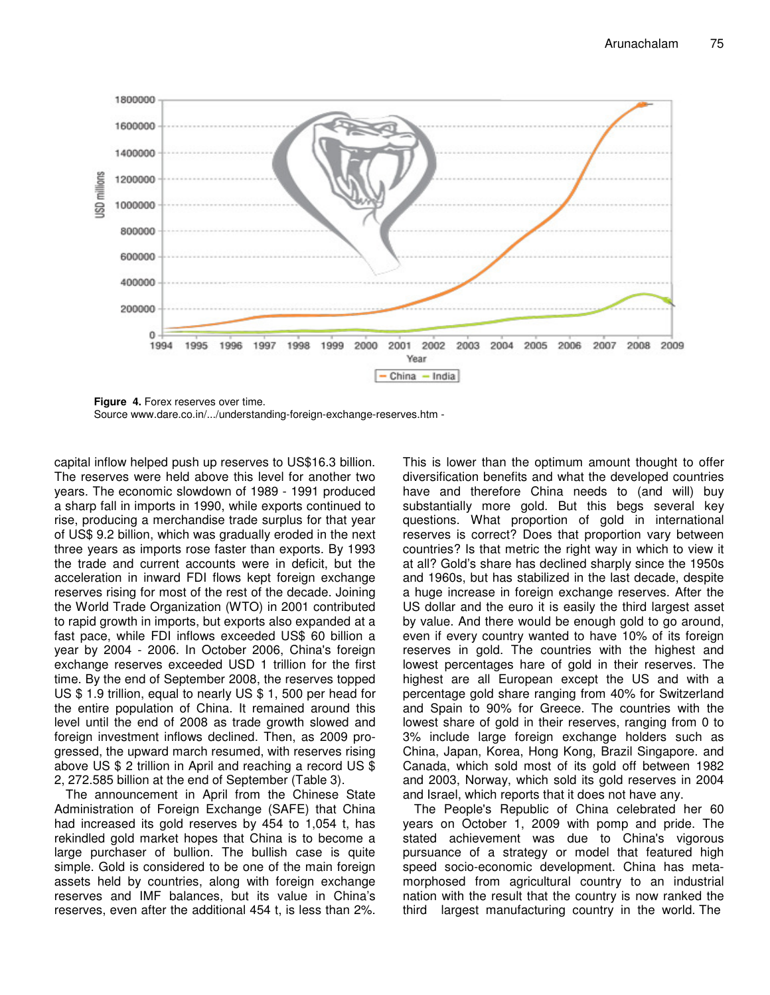

**Figure 4.** Forex reserves over time. Source www.dare.co.in/.../understanding-foreign-exchange-reserves.htm -

capital inflow helped push up reserves to US\$16.3 billion. The reserves were held above this level for another two years. The economic slowdown of 1989 - 1991 produced a sharp fall in imports in 1990, while exports continued to rise, producing a merchandise trade surplus for that year of US\$ 9.2 billion, which was gradually eroded in the next three years as imports rose faster than exports. By 1993 the trade and current accounts were in deficit, but the acceleration in inward FDI flows kept foreign exchange reserves rising for most of the rest of the decade. Joining the World Trade Organization (WTO) in 2001 contributed to rapid growth in imports, but exports also expanded at a fast pace, while FDI inflows exceeded US\$ 60 billion a year by 2004 - 2006. In October 2006, China's foreign exchange reserves exceeded USD 1 trillion for the first time. By the end of September 2008, the reserves topped US \$ 1.9 trillion, equal to nearly US \$ 1, 500 per head for the entire population of China. It remained around this level until the end of 2008 as trade growth slowed and foreign investment inflows declined. Then, as 2009 progressed, the upward march resumed, with reserves rising above US \$ 2 trillion in April and reaching a record US \$ 2, 272.585 billion at the end of September (Table 3).

The announcement in April from the Chinese State Administration of Foreign Exchange (SAFE) that China had increased its gold reserves by 454 to 1,054 t, has rekindled gold market hopes that China is to become a large purchaser of bullion. The bullish case is quite simple. Gold is considered to be one of the main foreign assets held by countries, along with foreign exchange reserves and IMF balances, but its value in China's reserves, even after the additional 454 t, is less than 2%. This is lower than the optimum amount thought to offer diversification benefits and what the developed countries have and therefore China needs to (and will) buy substantially more gold. But this begs several key questions. What proportion of gold in international reserves is correct? Does that proportion vary between countries? Is that metric the right way in which to view it at all? Gold's share has declined sharply since the 1950s and 1960s, but has stabilized in the last decade, despite a huge increase in foreign exchange reserves. After the US dollar and the euro it is easily the third largest asset by value. And there would be enough gold to go around, even if every country wanted to have 10% of its foreign reserves in gold. The countries with the highest and lowest percentages hare of gold in their reserves. The highest are all European except the US and with a percentage gold share ranging from 40% for Switzerland and Spain to 90% for Greece. The countries with the lowest share of gold in their reserves, ranging from 0 to 3% include large foreign exchange holders such as China, Japan, Korea, Hong Kong, Brazil Singapore. and Canada, which sold most of its gold off between 1982 and 2003, Norway, which sold its gold reserves in 2004 and Israel, which reports that it does not have any.

The People's Republic of China celebrated her 60 years on October 1, 2009 with pomp and pride. The stated achievement was due to China's vigorous pursuance of a strategy or model that featured high speed socio-economic development. China has metamorphosed from agricultural country to an industrial nation with the result that the country is now ranked the third largest manufacturing country in the world. The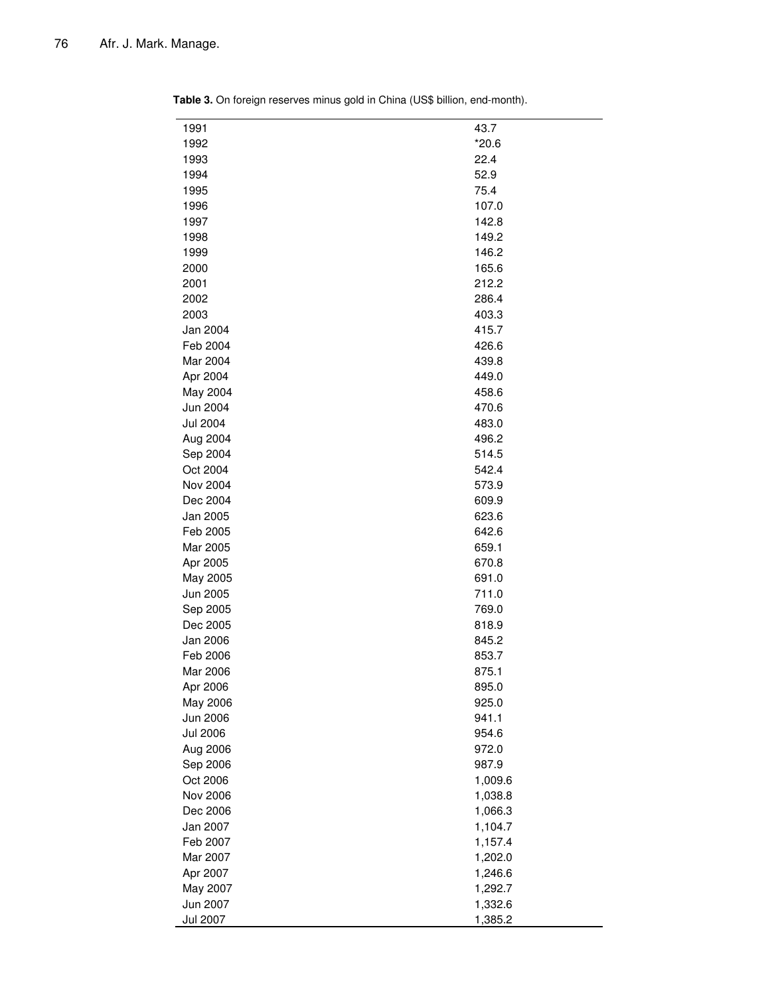| 1991            | 43.7    |
|-----------------|---------|
| 1992            | $*20.6$ |
| 1993            | 22.4    |
| 1994            | 52.9    |
| 1995            | 75.4    |
| 1996            | 107.0   |
| 1997            | 142.8   |
| 1998            | 149.2   |
| 1999            | 146.2   |
| 2000            | 165.6   |
| 2001            | 212.2   |
| 2002            | 286.4   |
| 2003            | 403.3   |
| Jan 2004        | 415.7   |
| Feb 2004        | 426.6   |
| Mar 2004        | 439.8   |
| Apr 2004        | 449.0   |
| May 2004        | 458.6   |
| Jun 2004        | 470.6   |
| <b>Jul 2004</b> | 483.0   |
| Aug 2004        | 496.2   |
| Sep 2004        | 514.5   |
| Oct 2004        | 542.4   |
| Nov 2004        | 573.9   |
| Dec 2004        | 609.9   |
| Jan 2005        | 623.6   |
| Feb 2005        | 642.6   |
| Mar 2005        | 659.1   |
| Apr 2005        | 670.8   |
| May 2005        | 691.0   |
| Jun 2005        | 711.0   |
| Sep 2005        | 769.0   |
| Dec 2005        | 818.9   |
| Jan 2006        | 845.2   |
| Feb 2006        | 853.7   |
| Mar 2006        | 875.1   |
| Apr 2006        | 895.0   |
| May 2006        | 925.0   |
| Jun 2006        | 941.1   |
| <b>Jul 2006</b> | 954.6   |
| Aug 2006        | 972.0   |
| Sep 2006        | 987.9   |
| Oct 2006        | 1,009.6 |
| Nov 2006        | 1,038.8 |
| Dec 2006        | 1,066.3 |
| Jan 2007        | 1,104.7 |
| Feb 2007        | 1,157.4 |
| Mar 2007        | 1,202.0 |
| Apr 2007        | 1,246.6 |
| May 2007        | 1,292.7 |
| Jun 2007        | 1,332.6 |
| <b>Jul 2007</b> | 1,385.2 |

**Table 3.** On foreign reserves minus gold in China (US\$ billion, end-month).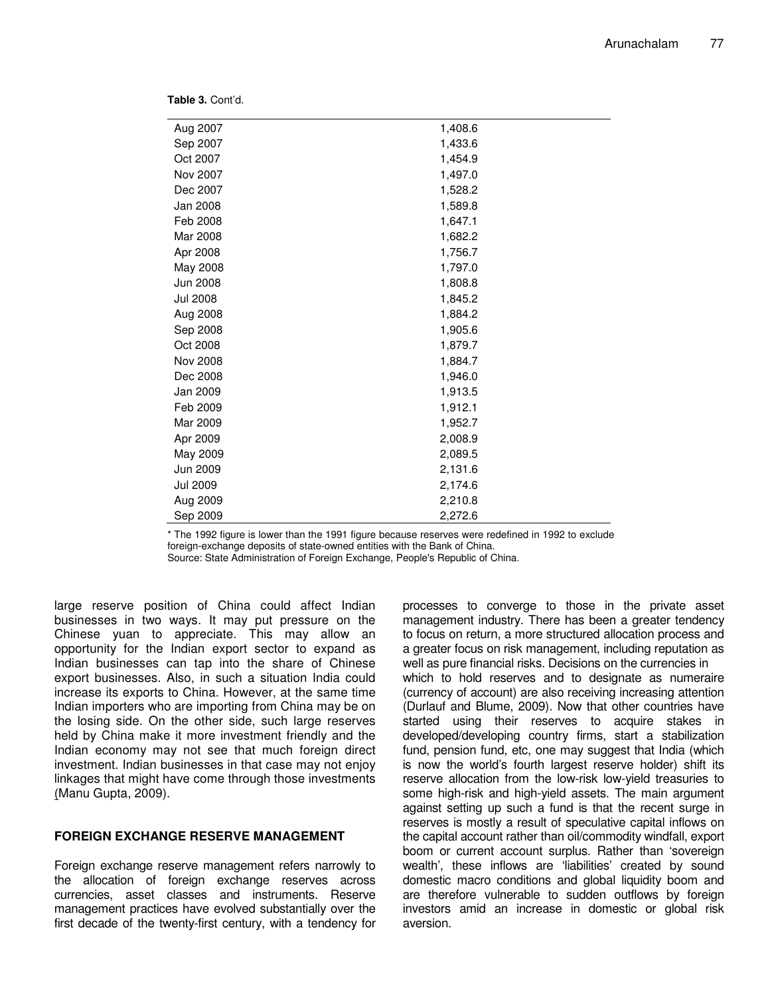**Table 3.** Cont'd.

| Aug 2007        | 1,408.6 |  |
|-----------------|---------|--|
| Sep 2007        | 1,433.6 |  |
| Oct 2007        | 1,454.9 |  |
| Nov 2007        | 1,497.0 |  |
| Dec 2007        | 1,528.2 |  |
| Jan 2008        | 1,589.8 |  |
| Feb 2008        | 1,647.1 |  |
| Mar 2008        | 1,682.2 |  |
| Apr 2008        | 1,756.7 |  |
| May 2008        | 1,797.0 |  |
| Jun 2008        | 1,808.8 |  |
| <b>Jul 2008</b> | 1,845.2 |  |
| Aug 2008        | 1,884.2 |  |
| Sep 2008        | 1,905.6 |  |
| Oct 2008        | 1,879.7 |  |
| Nov 2008        | 1,884.7 |  |
| Dec 2008        | 1,946.0 |  |
| Jan 2009        | 1,913.5 |  |
| Feb 2009        | 1,912.1 |  |
| Mar 2009        | 1,952.7 |  |
| Apr 2009        | 2,008.9 |  |
| May 2009        | 2,089.5 |  |
| Jun 2009        | 2,131.6 |  |
| <b>Jul 2009</b> | 2,174.6 |  |
| Aug 2009        | 2,210.8 |  |
| Sep 2009        | 2,272.6 |  |

\* The 1992 figure is lower than the 1991 figure because reserves were redefined in 1992 to exclude foreign-exchange deposits of state-owned entities with the Bank of China.

Source: State Administration of Foreign Exchange, People's Republic of China.

large reserve position of China could affect Indian businesses in two ways. It may put pressure on the Chinese yuan to appreciate. This may allow an opportunity for the Indian export sector to expand as Indian businesses can tap into the share of Chinese export businesses. Also, in such a situation India could increase its exports to China. However, at the same time Indian importers who are importing from China may be on the losing side. On the other side, such large reserves held by China make it more investment friendly and the Indian economy may not see that much foreign direct investment. Indian businesses in that case may not enjoy linkages that might have come through those investments (Manu Gupta, 2009).

#### **FOREIGN EXCHANGE RESERVE MANAGEMENT**

Foreign exchange reserve management refers narrowly to the allocation of foreign exchange reserves across currencies, asset classes and instruments. Reserve management practices have evolved substantially over the first decade of the twenty-first century, with a tendency for

processes to converge to those in the private asset management industry. There has been a greater tendency to focus on return, a more structured allocation process and a greater focus on risk management, including reputation as well as pure financial risks. Decisions on the currencies in which to hold reserves and to designate as numeraire (currency of account) are also receiving increasing attention (Durlauf and Blume, 2009). Now that other countries have started using their reserves to acquire stakes in developed/developing country firms, start a stabilization fund, pension fund, etc, one may suggest that India (which is now the world's fourth largest reserve holder) shift its reserve allocation from the low-risk low-yield treasuries to some high-risk and high-yield assets. The main argument against setting up such a fund is that the recent surge in reserves is mostly a result of speculative capital inflows on the capital account rather than oil/commodity windfall, export boom or current account surplus. Rather than 'sovereign wealth', these inflows are 'liabilities' created by sound domestic macro conditions and global liquidity boom and are therefore vulnerable to sudden outflows by foreign investors amid an increase in domestic or global risk aversion.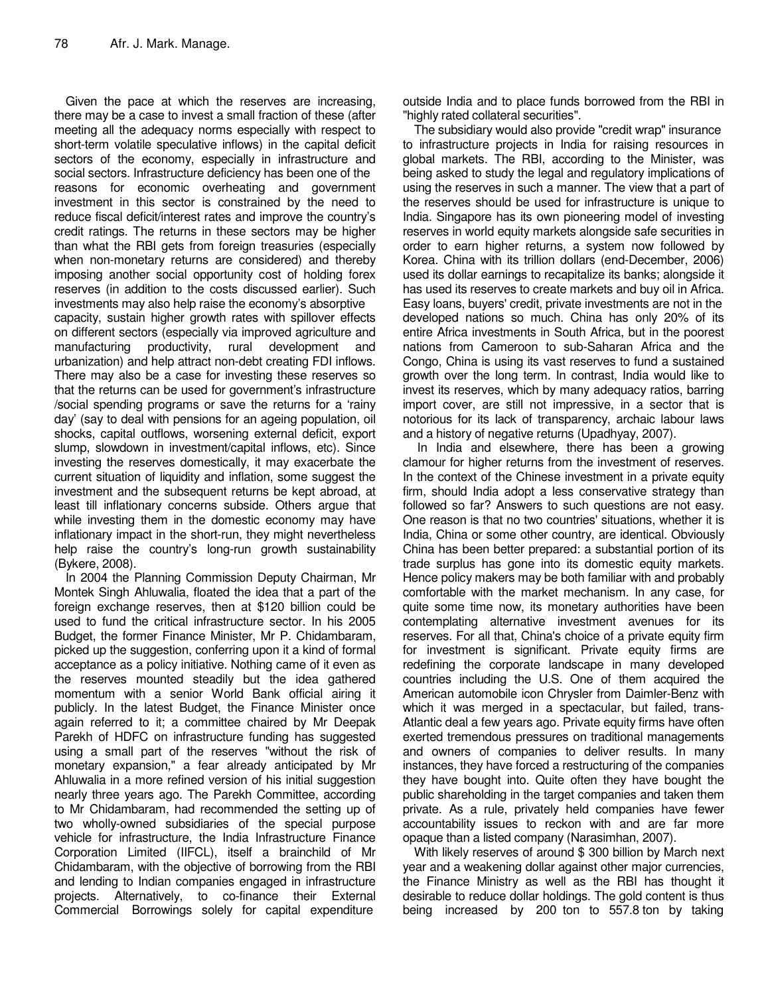Given the pace at which the reserves are increasing, there may be a case to invest a small fraction of these (after meeting all the adequacy norms especially with respect to short-term volatile speculative inflows) in the capital deficit sectors of the economy, especially in infrastructure and social sectors. Infrastructure deficiency has been one of the reasons for economic overheating and government investment in this sector is constrained by the need to reduce fiscal deficit/interest rates and improve the country's credit ratings. The returns in these sectors may be higher than what the RBI gets from foreign treasuries (especially when non-monetary returns are considered) and thereby imposing another social opportunity cost of holding forex reserves (in addition to the costs discussed earlier). Such investments may also help raise the economy's absorptive capacity, sustain higher growth rates with spillover effects on different sectors (especially via improved agriculture and manufacturing productivity, rural development and urbanization) and help attract non-debt creating FDI inflows. There may also be a case for investing these reserves so that the returns can be used for government's infrastructure /social spending programs or save the returns for a 'rainy day' (say to deal with pensions for an ageing population, oil shocks, capital outflows, worsening external deficit, export slump, slowdown in investment/capital inflows, etc). Since investing the reserves domestically, it may exacerbate the current situation of liquidity and inflation, some suggest the investment and the subsequent returns be kept abroad, at least till inflationary concerns subside. Others argue that while investing them in the domestic economy may have inflationary impact in the short-run, they might nevertheless help raise the country's long-run growth sustainability (Bykere, 2008).

In 2004 the Planning Commission Deputy Chairman, Mr Montek Singh Ahluwalia, floated the idea that a part of the foreign exchange reserves, then at \$120 billion could be used to fund the critical infrastructure sector. In his 2005 Budget, the former Finance Minister, Mr P. Chidambaram, picked up the suggestion, conferring upon it a kind of formal acceptance as a policy initiative. Nothing came of it even as the reserves mounted steadily but the idea gathered momentum with a senior World Bank official airing it publicly. In the latest Budget, the Finance Minister once again referred to it; a committee chaired by Mr Deepak Parekh of HDFC on infrastructure funding has suggested using a small part of the reserves "without the risk of monetary expansion," a fear already anticipated by Mr Ahluwalia in a more refined version of his initial suggestion nearly three years ago. The Parekh Committee, according to Mr Chidambaram, had recommended the setting up of two wholly-owned subsidiaries of the special purpose vehicle for infrastructure, the India Infrastructure Finance Corporation Limited (IIFCL), itself a brainchild of Mr Chidambaram, with the objective of borrowing from the RBI and lending to Indian companies engaged in infrastructure projects. Alternatively, to co-finance their External Commercial Borrowings solely for capital expenditure

outside India and to place funds borrowed from the RBI in "highly rated collateral securities".

The subsidiary would also provide "credit wrap" insurance to infrastructure projects in India for raising resources in global markets. The RBI, according to the Minister, was being asked to study the legal and regulatory implications of using the reserves in such a manner. The view that a part of the reserves should be used for infrastructure is unique to India. Singapore has its own pioneering model of investing reserves in world equity markets alongside safe securities in order to earn higher returns, a system now followed by Korea. China with its trillion dollars (end-December, 2006) used its dollar earnings to recapitalize its banks; alongside it has used its reserves to create markets and buy oil in Africa. Easy loans, buyers' credit, private investments are not in the developed nations so much. China has only 20% of its entire Africa investments in South Africa, but in the poorest nations from Cameroon to sub-Saharan Africa and the Congo, China is using its vast reserves to fund a sustained growth over the long term. In contrast, India would like to invest its reserves, which by many adequacy ratios, barring import cover, are still not impressive, in a sector that is notorious for its lack of transparency, archaic labour laws and a history of negative returns (Upadhyay, 2007).

 In India and elsewhere, there has been a growing clamour for higher returns from the investment of reserves. In the context of the Chinese investment in a private equity firm, should India adopt a less conservative strategy than followed so far? Answers to such questions are not easy. One reason is that no two countries' situations, whether it is India, China or some other country, are identical. Obviously China has been better prepared: a substantial portion of its trade surplus has gone into its domestic equity markets. Hence policy makers may be both familiar with and probably comfortable with the market mechanism. In any case, for quite some time now, its monetary authorities have been contemplating alternative investment avenues for its reserves. For all that, China's choice of a private equity firm for investment is significant. Private equity firms are redefining the corporate landscape in many developed countries including the U.S. One of them acquired the American automobile icon Chrysler from Daimler-Benz with which it was merged in a spectacular, but failed, trans-Atlantic deal a few years ago. Private equity firms have often exerted tremendous pressures on traditional managements and owners of companies to deliver results. In many instances, they have forced a restructuring of the companies they have bought into. Quite often they have bought the public shareholding in the target companies and taken them private. As a rule, privately held companies have fewer accountability issues to reckon with and are far more opaque than a listed company (Narasimhan, 2007).

With likely reserves of around \$ 300 billion by March next year and a weakening dollar against other major currencies, the Finance Ministry as well as the RBI has thought it desirable to reduce dollar holdings. The gold content is thus being increased by 200 ton to 557.8 ton by taking